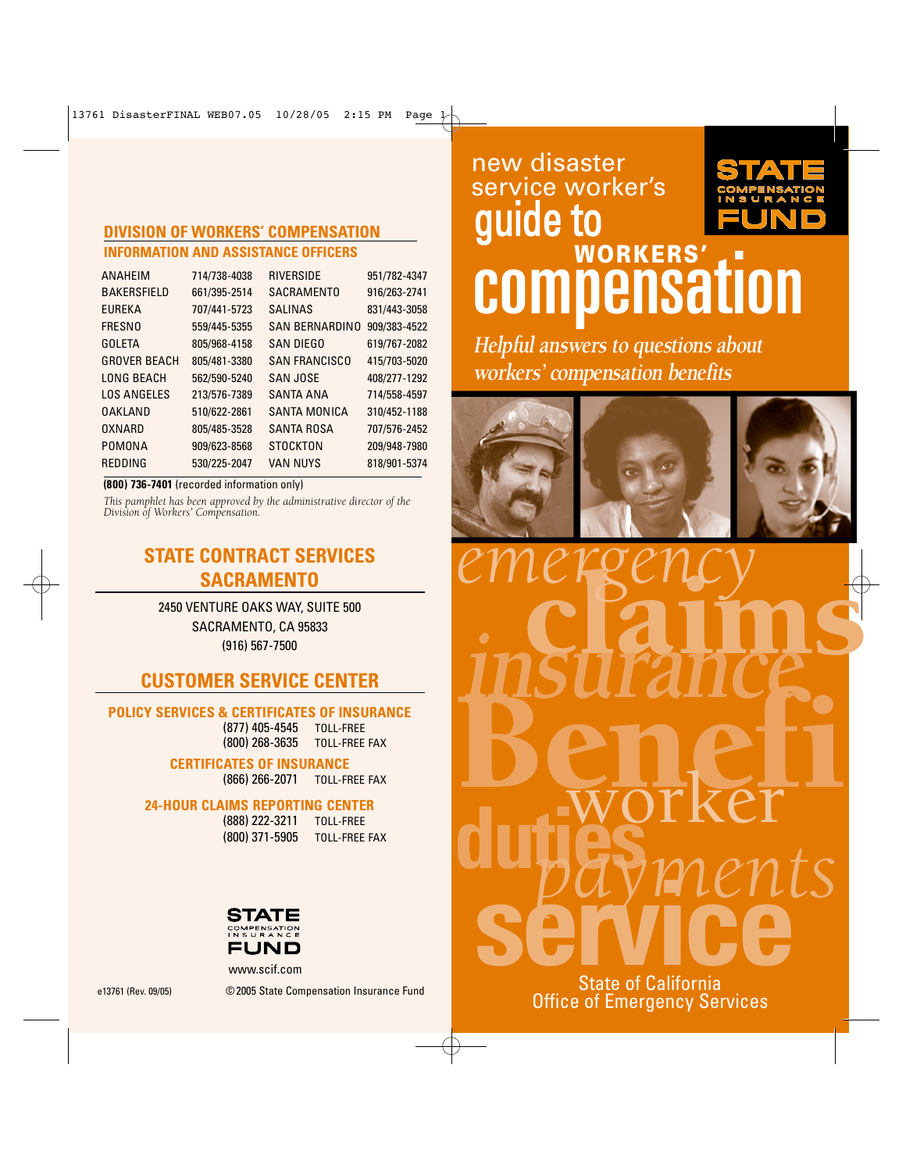#### **DIVISION OF WORKERS' COMPENSATION INFORMATION AND ASSISTANCE OFFICERS**

| <b>ANAHEIM</b>      | 714/738-4038 | RIVERSIDE             | 951/782-4347 |
|---------------------|--------------|-----------------------|--------------|
| <b>BAKERSFIELD</b>  | 661/395-2514 | <b>SACRAMENTO</b>     | 916/263-2741 |
| <b>EUREKA</b>       | 707/441-5723 | <b>SALINAS</b>        | 831/443-3058 |
| <b>FRESNO</b>       | 559/445-5355 | <b>SAN BERNARDINO</b> | 909/383-4522 |
| <b>GOLETA</b>       | 805/968-4158 | SAN DIEGO             | 619/767-2082 |
| <b>GROVER BEACH</b> | 805/481-3380 | <b>SAN FRANCISCO</b>  | 415/703-5020 |
| LONG BEACH          | 562/590-5240 | <b>SAN JOSE</b>       | 408/277-1292 |
| <b>LOS ANGELES</b>  | 213/576-7389 | <b>SANTA ANA</b>      | 714/558-4597 |
| <b>OAKLAND</b>      | 510/622-2861 | SANTA MONICA          | 310/452-1188 |
| OXNARD              | 805/485-3528 | SANTA ROSA            | 707/576-2452 |
| POMONA              | 909/623-8568 | STOCKTON              | 209/948-7980 |
| REDDING             | 530/225-2047 | <b>VAN NUYS</b>       | 818/901-5374 |
|                     |              |                       |              |

#### **(800) 736-740 1** (recorded information only)

*This pamphlet has been approved by the administrative director of the Division of Workers' Compensation.*

# **STATE CONTRACT SERVICES SACRAMENTO**

2450 VENTURE OAKS WAY, SUITE 500 SACRAMENTO, CA 95833 (916) 567-7500

# **CUSTOMER SERVICE CENTER**

#### **POLICY SERVICES & CERTIFICATES OF INSURANCE**

(877) 405-4545 TOLL-FREE (800) 268-3635 TOLL-FREE FA X

**CERTIFICATES OF INSURANCE** (866) 266-2071 TOLL-FREE FA X

#### **24-HOUR CLAIMS REPORTING CENTER**

(888) 222-3211 TOLL-FREE (800) 371-5905 TOLL-FREE FA X



www.scif.com

# **MORKERS'** TO MORKERS' guide to new disaster service worker's

**Helpful answers to questions about workers' compensation benefits**







dutjes claims Benefi *payments* **insurance se million**<br>State of California *emergency*

State of California Office of Emergency Services

e13761 (Rev. 09/05) ©2005 State Compensation Insurance Fund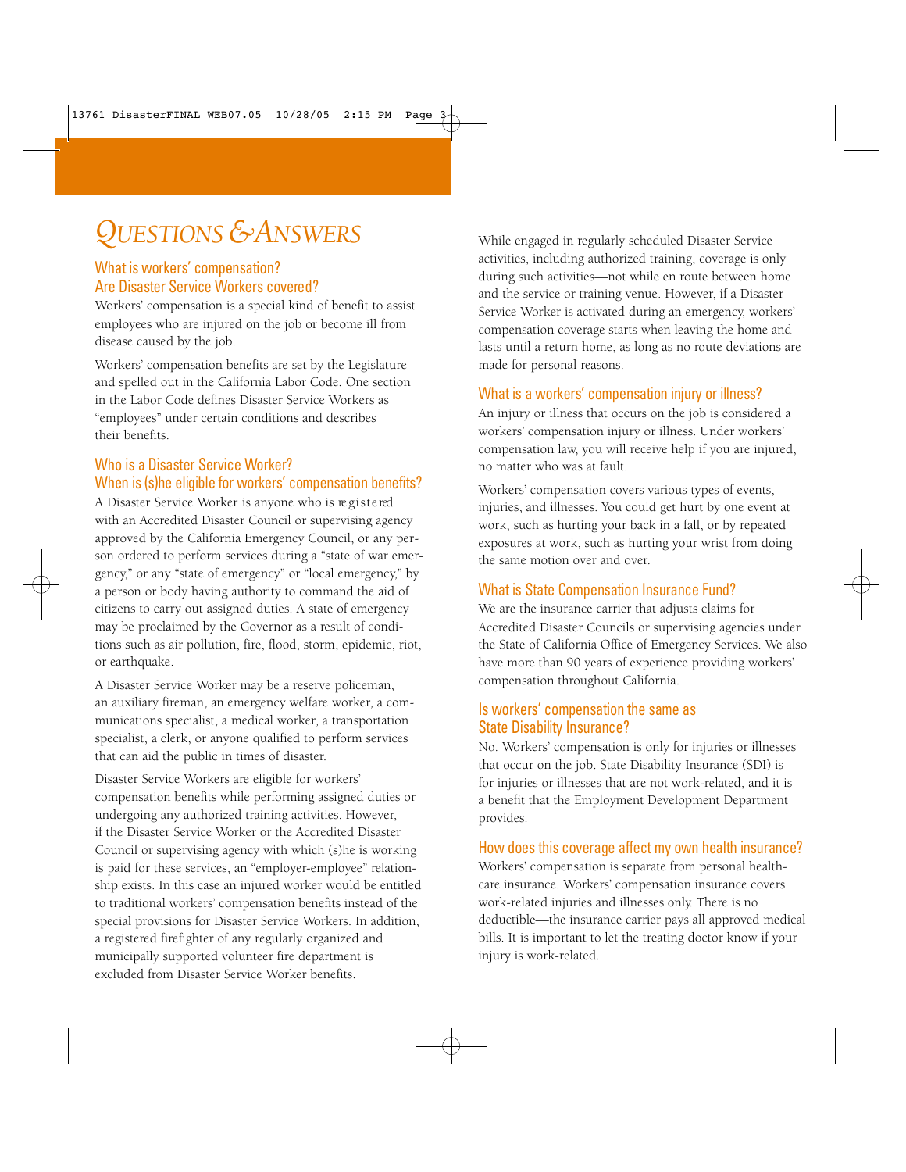# *QU E S T I O NS & AN S W E R S*

#### What is workers' compensation? Are Disaster Service Workers covered?

Workers' compensation is a special kind of benefit to assist employees who are injured on the job or become ill from disease caused by the job.

Workers' compensation benefits are set by the Legislature and spelled out in the California Labor Code. One section in the Labor Code defines Disaster Service Workers as "employees" under certain conditions and describes their benefits.

#### Who is a Disaster Service Worker? When is (s)he eligible for workers' compensation benefits?

A Disaster Service Worker is anyone who is registered with an Accredited Disaster Council or supervising agency approved by the California Emergency Council, or any person ordered to perform services during a "state of war emergency," or any "state of emergency" or "local emergency," by a person or body having authority to command the aid of citizens to carry out assigned duties. A state of emergency may be proclaimed by the Governor as a result of conditions such as air pollution, fire, flood, storm, epidemic, riot, or earthquake.

A Disaster Service Worker may be a reserve policeman, an auxiliary fireman, an emergency welfare worker, a communications specialist, a medical worker, a transportation specialist, a clerk, or anyone qualified to perform services that can aid the public in times of disaster.

Disaster Service Workers are eligible for workers' compensation benefits while performing assigned duties or undergoing any authorized training activities. However, if the Disaster Service Worker or the Accredited Disaster Council or supervising agency with which (s)he is working is paid for these services, an "employer-employee" relationship exists. In this case an injured worker would be entitled to traditional workers' compensation benefits instead of the special provisions for Disaster Service Workers. In addition, a registered firefighter of any regularly organized and municipally supported volunteer fire department is excluded from Disaster Service Worker benefits.

While engaged in regularly scheduled Disaster Service activities, including authorized training, coverage is only during such activities—not while en route between home and the service or training venue. However, if a Disaster Service Worker is activated during an emergency, workers' compensation coverage starts when leaving the home and lasts until a return home, as long as no route deviations are made for personal reasons.

#### What is a workers' compensation injury or illness?

An injury or illness that occurs on the job is considered a workers' compensation injury or illness. Under workers' compensation law, you will receive help if you are injured, no matter who was at fault.

Workers' compensation covers various types of events, injuries, and illnesses. You could get hurt by one event at work, such as hurting your back in a fall, or by repeated exposures at work, such as hurting your wrist from doing the same motion over and over.

#### What is State Compensation Insurance Fund?

We are the insurance carrier that adjusts claims for Accredited Disaster Councils or supervising agencies under the State of California Office of Emergency Services. We also have more than 90 years of experience providing workers' compensation throughout California.

#### Is workers' compensation the same as State Disability Insurance?

No. Workers' compensation is only for injuries or illnesses that occur on the job. State Disability Insurance (SDI) is for injuries or illnesses that are not work-related, and it is a benefit that the Employment Development Department provides.

#### How does this coverage affect my own health insurance?

Workers' compensation is separate from personal healthcare insurance. Workers' compensation insurance covers work-related injuries and illnesses only. There is no deductible—the insurance carrier pays all approved medical bills. It is important to let the treating doctor know if your injury is work-related.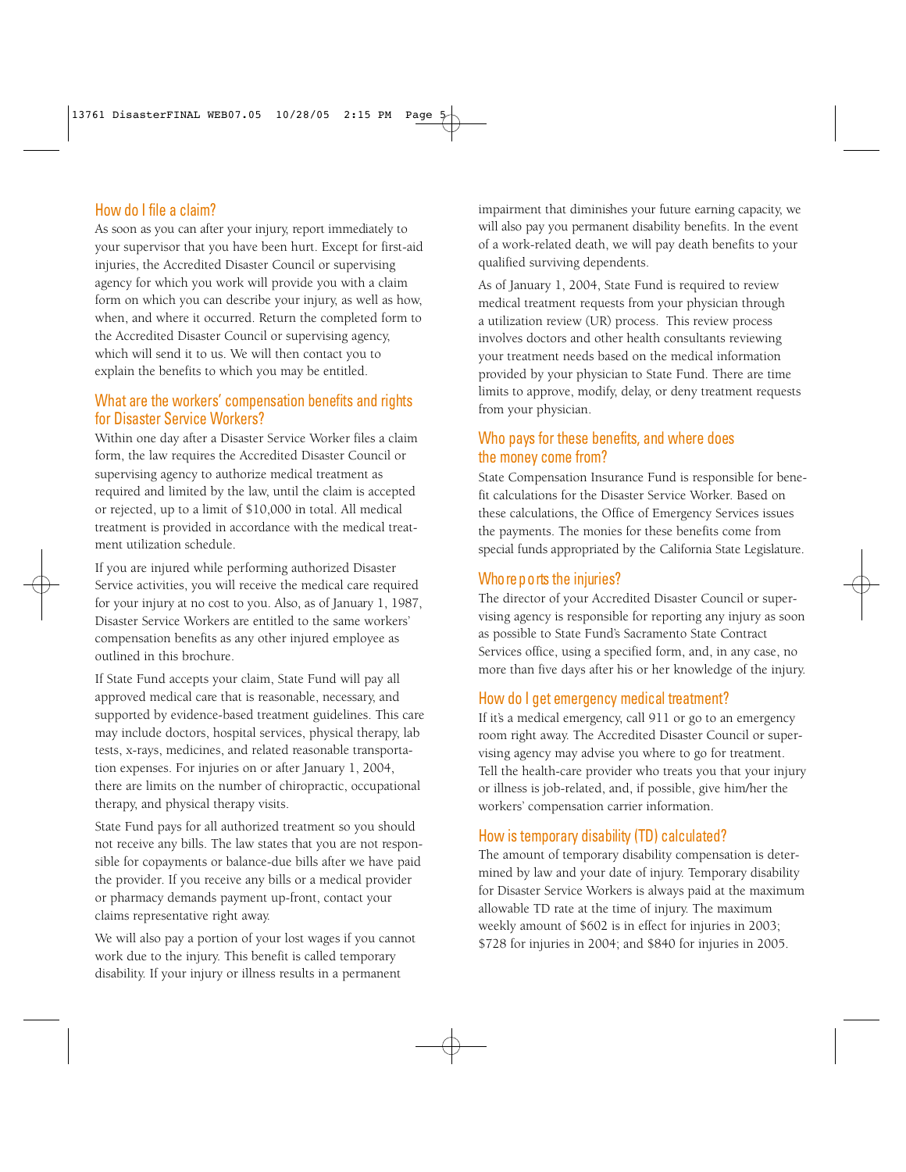#### How do I file a claim?

As soon as you can after your injury, report immediately to your supervisor that you have been hurt. Except for first-aid injuries, the Accredited Disaster Council or supervising agency for which you work will provide you with a claim form on which you can describe your injury, as well as how, when, and where it occurred. Return the completed form to the Accredited Disaster Council or supervising agency, which will send it to us. We will then contact you to explain the benefits to which you may be entitled.

#### What are the workers' compensation benefits and rights for Disaster Service Workers?

Within one day after a Disaster Service Worker files a claim form, the law requires the Accredited Disaster Council or supervising agency to authorize medical treatment as required and limited by the law, until the claim is accepted or rejected, up to a limit of \$10,000 in total. All medical treatment is provided in accordance with the medical treatment utilization schedule.

If you are injured while performing authorized Disaster Service activities, you will receive the medical care required for your injury at no cost to you. Also, as of January 1, 1987, Disaster Service Workers are entitled to the same workers' compensation benefits as any other injured employee as outlined in this brochure.

If State Fund accepts your claim, State Fund will pay all approved medical care that is reasonable, necessary, and supported by evidence-based treatment guidelines. This care may include doctors, hospital services, physical therapy, lab tests, x-rays, medicines, and related reasonable transportation expenses. For injuries on or after January 1, 2004, there are limits on the number of chiropractic, occupational therapy, and physical therapy visits.

State Fund pays for all authorized treatment so you should not receive any bills. The law states that you are not responsible for copayments or balance-due bills after we have paid the provider. If you receive any bills or a medical provider or pharmacy demands payment up-front, contact your claims representative right away.

We will also pay a portion of your lost wages if you cannot work due to the injury. This benefit is called temporary disability. If your injury or illness results in a permanent

impairment that diminishes your future earning capacity, we will also pay you permanent disability benefits. In the event of a work-related death, we will pay death benefits to your qualified surviving dependents.

As of January 1, 2004, State Fund is required to review medical treatment requests from your physician through a utilization review (UR) process. This review process involves doctors and other health consultants reviewing your treatment needs based on the medical information provided by your physician to State Fund. There are time limits to approve, modify, delay, or deny treatment requests from your physician.

#### Who pays for these benefits, and where does the money come from?

State Compensation Insurance Fund is responsible for benefit calculations for the Disaster Service Worker. Based on these calculations, the Office of Emergency Services issues the payments. The monies for these benefits come from special funds appropriated by the California State Legislature.

#### Who re p o rts the injuries?

The director of your Accredited Disaster Council or supervising agency is responsible for reporting any injury as soon as possible to State Fund's Sacramento State Contract Services office, using a specified form, and, in any case, no more than five days after his or her knowledge of the injury.

#### How do I get emergency medical treatment?

If it's a medical emergency, call 911 or go to an emergency room right away. The Accredited Disaster Council or supervising agency may advise you where to go for treatment. Tell the health-care provider who treats you that your injury or illness is job-related, and, if possible, give him/her the workers' compensation carrier information.

#### How is temporary disability (TD) calculated?

The amount of temporary disability compensation is determined by law and your date of injury. Temporary disability for Disaster Service Workers is always paid at the maximum allowable TD rate at the time of injury. The maximum weekly amount of \$602 is in effect for injuries in 2003; \$728 for injuries in 2004; and \$840 for injuries in 2005.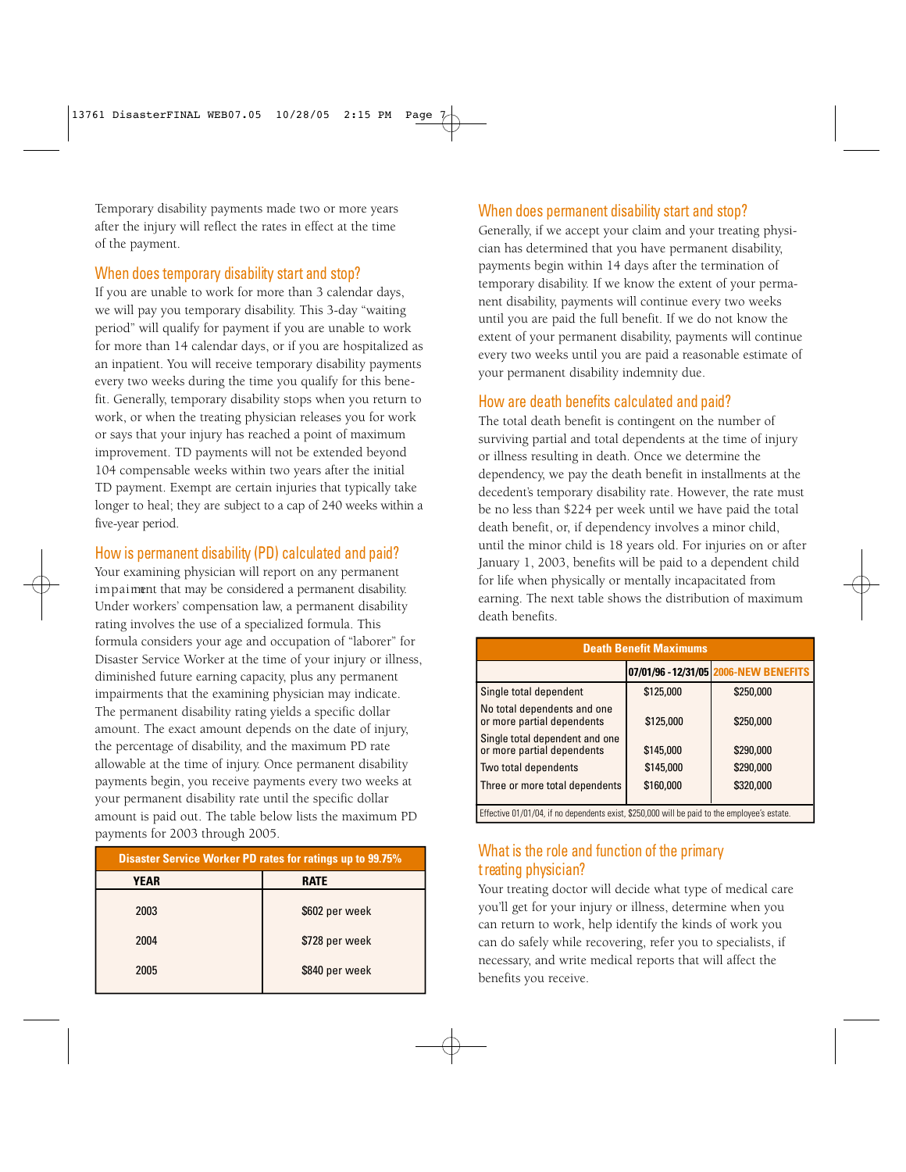Temporary disability payments made two or more years after the injury will reflect the rates in effect at the time of the payment.

#### When does temporary disability start and stop?

If you are unable to work for more than 3 calendar days, we will pay you temporary disability. This 3-day "waiting period" will qualify for payment if you are unable to work for more than 14 calendar days, or if you are hospitalized as an inpatient. You will receive temporary disability payments every two weeks during the time you qualify for this benefit. Generally, temporary disability stops when you return to work, or when the treating physician releases you for work or says that your injury has reached a point of maximum improvement. TD payments will not be extended beyond 104 compensable weeks within two years after the initial TD payment. Exempt are certain injuries that typically take longer to heal; they are subject to a cap of 240 weeks within a five-year period.

#### How is permanent disability (PD) calculated and paid?

Your examining physician will report on any permanent im paiment that may be considered a permanent disability. Under workers' compensation law, a permanent disability rating involves the use of a specialized formula. This formula considers your age and occupation of "laborer" for Disaster Service Worker at the time of your injury or illness, diminished future earning capacity, plus any permanent impairments that the examining physician may indicate. The permanent disability rating yields a specific dollar amount. The exact amount depends on the date of injury, the percentage of disability, and the maximum PD rate allowable at the time of injury. Once permanent disability payments begin, you receive payments every two weeks at your permanent disability rate until the specific dollar amount is paid out. The table below lists the maximum PD payments for 2003 through 2005.

| <b>Disaster Service Worker PD rates for ratings up to 99.75%</b> |                |  |
|------------------------------------------------------------------|----------------|--|
| YEAR                                                             | <b>RATE</b>    |  |
| 2003                                                             | \$602 per week |  |
| 2004                                                             | \$728 per week |  |
| 2005                                                             | \$840 per week |  |

# When does permanent disability start and stop?

Generally, if we accept your claim and your treating physician has determined that you have permanent disability, payments begin within 14 days after the termination of temporary disability. If we know the extent of your permanent disability, payments will continue every two weeks until you are paid the full benefit. If we do not know the extent of your permanent disability, payments will continue every two weeks until you are paid a reasonable estimate of your permanent disability indemnity due.

## How are death benefits calculated and paid?

The total death benefit is contingent on the number of surviving partial and total dependents at the time of injury or illness resulting in death. Once we determine the dependency, we pay the death benefit in installments at the decedent's temporary disability rate. However, the rate must be no less than \$224 per week until we have paid the total death benefit, or, if dependency involves a minor child, until the minor child is 18 years old. For injuries on or after January 1, 2003, benefits will be paid to a dependent child for life when physically or mentally incapacitated from earning. The next table shows the distribution of maximum death benefits.

| <b>Death Benefit Maximums</b>                                                                |           |                                       |  |  |
|----------------------------------------------------------------------------------------------|-----------|---------------------------------------|--|--|
|                                                                                              |           | 07/01/96 - 12/31/05 2006-NEW BENEFITS |  |  |
| Single total dependent                                                                       | \$125,000 | \$250,000                             |  |  |
| No total dependents and one<br>or more partial dependents                                    | \$125,000 | \$250,000                             |  |  |
| Single total dependent and one<br>or more partial dependents                                 | \$145,000 | \$290,000                             |  |  |
| Two total dependents                                                                         | \$145,000 | \$290,000                             |  |  |
| Three or more total dependents                                                               | \$160,000 | \$320,000                             |  |  |
| Effective 01/01/04, if no dependents exist, \$250,000 will be paid to the employee's estate. |           |                                       |  |  |

#### What is the role and function of the primary t reating physician?

Your treating doctor will decide what type of medical care you'll get for your injury or illness, determine when you can return to work, help identify the kinds of work you can do safely while recovering, refer you to specialists, if necessary, and write medical reports that will affect the benefits you receive.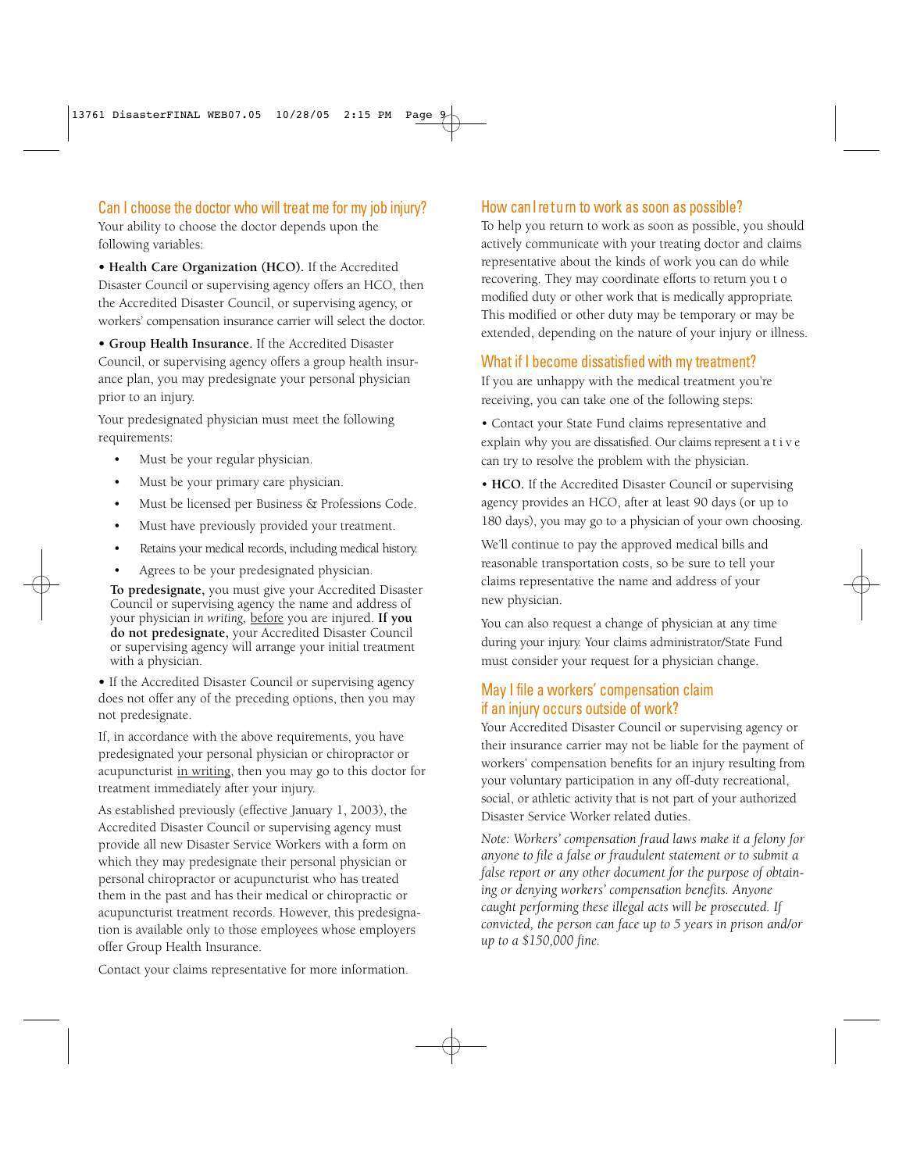#### Can I choose the doctor who will treat me for my job injury?

Your ability to choose the doctor depends upon the following variables:

**• Health Care Organization (HCO).** If the Accredited Disaster Council or supervising agency offers an HCO, then the Accredited Disaster Council, or supervising agency, or workers' compensation insurance carrier will select the doctor.

**• Group Health Insurance.** If the Accredited Disaster Council, or supervising agency offers a group health insurance plan, you may predesignate your personal physician prior to an injury.

Your predesignated physician must meet the following requirements:

- Must be your regular physician.
- Must be your primary care physician.
- Must be licensed per Business & Professions Code.
- Must have previously provided your treatment.
- Retains your medical records, including medical history.
- Agrees to be your predesignated physician.

**To predesignate,** you must give your Accredited Disaster Council or supervising agency the name and address of your physician *in writing,* before you are injured. **If you do not predesignate,** your Accredited Disaster Council or supervising agency will arrange your initial treatment with a physician.

**•** If the Accredited Disaster Council or supervising agency does not offer any of the preceding options, then you may not predesignate.

If, in accordance with the above requirements, you have predesignated your personal physician or chiropractor or acupuncturist in writing, then you may go to this doctor for treatment immediately after your injury.

As established previously (effective January 1, 2003), the Accredited Disaster Council or supervising agency must provide all new Disaster Service Workers with a form on which they may predesignate their personal physician or personal chiropractor or acupuncturist who has treated them in the past and has their medical or chiropractic or acupuncturist treatment records. However, this predesignation is available only to those employees whose employers offer Group Health Insurance.

# Contact your claims representative for more information.

#### How can I re tu rn to work as soon as possible?

To help you return to work as soon as possible, you should actively communicate with your treating doctor and claims representative about the kinds of work you can do while recovering. They may coordinate efforts to return you t o modified duty or other work that is medically appropriate. This modified or other duty may be temporary or may be extended, depending on the nature of your injury or illness.

#### What if I become dissatisfied with my treatment?

If you are unhappy with the medical treatment you're receiving, you can take one of the following steps:

- Contact your State Fund claims representative and explain why you are dissatisfied. Our claims represent a t i v e can try to resolve the problem with the physician.
- **HCO.** If the Accredited Disaster Council or supervising agency provides an HCO, after at least 90 days (or up to 180 days), you may go to a physician of your own choosing.

We'll continue to pay the approved medical bills and reasonable transportation costs, so be sure to tell your claims representative the name and address of your new physician.

You can also request a change of physician at any time during your injury. Your claims administrator/State Fund must consider your request for a physician change.

#### May I file a workers' compensation claim if an injury occurs outside of work?

Your Accredited Disaster Council or supervising agency or their insurance carrier may not be liable for the payment of workers' compensation benefits for an injury resulting from your voluntary participation in any off-duty recreational, social, or athletic activity that is not part of your authorized Disaster Service Worker related duties.

*Note: Workers' compensation fraud laws make it a felony for anyone to file a false or fraudulent statement or to submit a false report or any other document for the purpose of obtaining or denying workers' compensation benefits. Anyone caught performing these illegal acts will be prosecuted. If convicted, the person can face up to 5 years in prison and/or up to a \$150,000 fine.*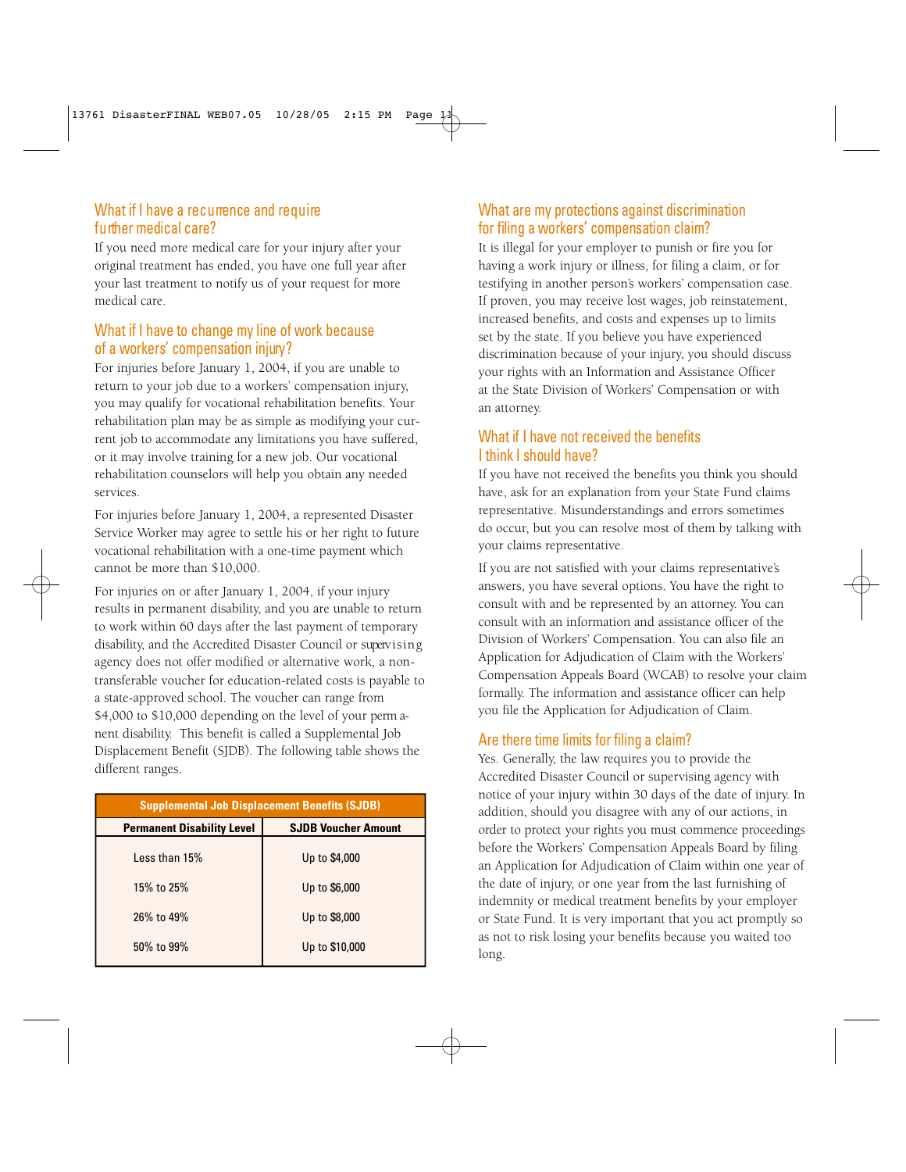#### What if I have a recurrence and require further medical care?

If you need more medical care for your injury after your original treatment has ended, you have one full year after your last treatment to notify us of your request for more medical care.

#### What if I have to change my line of work because of a workers' compensation injury ?

For injuries before January 1, 2004, if you are unable to return to your job due to a workers' compensation injury, you may qualify for vocational rehabilitation benefits. Your rehabilitation plan may be as simple as modifying your current job to accommodate any limitations you have suffered, or it may involve training for a new job. Our vocational rehabilitation counselors will help you obtain any needed services.

For injuries before January 1, 2004, a represented Disaster Service Worker may agree to settle his or her right to future vocational rehabilitation with a one-time payment which cannot be more than \$10,000.

For injuries on or after January 1, 2004, if your injury results in permanent disability, and you are unable to return to work within 60 days after the last payment of temporary disability, and the Accredited Disaster Council or supervising agency does not offer modified or alternative work, a nontransferable voucher for education-related costs is payable to a state-approved school. The voucher can range from \$4,000 to \$10,000 depending on the level of your perm anent disability. This benefit is called a Supplemental Job Displacement Benefit (SJDB). The following table shows the different ranges.

| <b>Supplemental Job Displacement Benefits (SJDB)</b> |                            |  |  |
|------------------------------------------------------|----------------------------|--|--|
| <b>Permanent Disability Level</b>                    | <b>SJDB Voucher Amount</b> |  |  |
| Less than 15%                                        | Up to \$4,000              |  |  |
| 15% to 25%                                           | Up to \$6,000              |  |  |
| 26% to 49%                                           | Up to \$8,000              |  |  |
| 50% to 99%                                           | Up to \$10,000             |  |  |

# What are my protections against discrimination for filing a workers' compensation claim?

It is illegal for your employer to punish or fire you for having a work injury or illness, for filing a claim, or for testifying in another person's workers' compensation case. If proven, you may receive lost wages, job reinstatement, increased benefits, and costs and expenses up to limits set by the state. If you believe you have experienced discrimination because of your injury, you should discuss your rights with an Information and Assistance Officer at the State Division of Workers' Compensation or with an attorney.

### What if I have not received the benefits I think I should have?

If you have not received the benefits you think you should have, ask for an explanation from your State Fund claims representative. Misunderstandings and errors sometimes do occur, but you can resolve most of them by talking with your claims representative.

If you are not satisfied with your claims representative's answers, you have several options. You have the right to consult with and be represented by an attorney. You can consult with an information and assistance officer of the Division of Workers' Compensation. You can also file an Application for Adjudication of Claim with the Workers' Compensation Appeals Board (WCAB) to resolve your claim formally. The information and assistance officer can help you file the Application for Adjudication of Claim.

## Are there time limits for filing a claim?

Yes. Generally, the law requires you to provide the Accredited Disaster Council or supervising agency with notice of your injury within 30 days of the date of injury. In addition, should you disagree with any of our actions, in order to protect your rights you must commence proceedings before the Workers' Compensation Appeals Board by filing an Application for Adjudication of Claim within one year of the date of injury, or one year from the last furnishing of indemnity or medical treatment benefits by your employer or State Fund. It is very important that you act promptly so as not to risk losing your benefits because you waited too long.